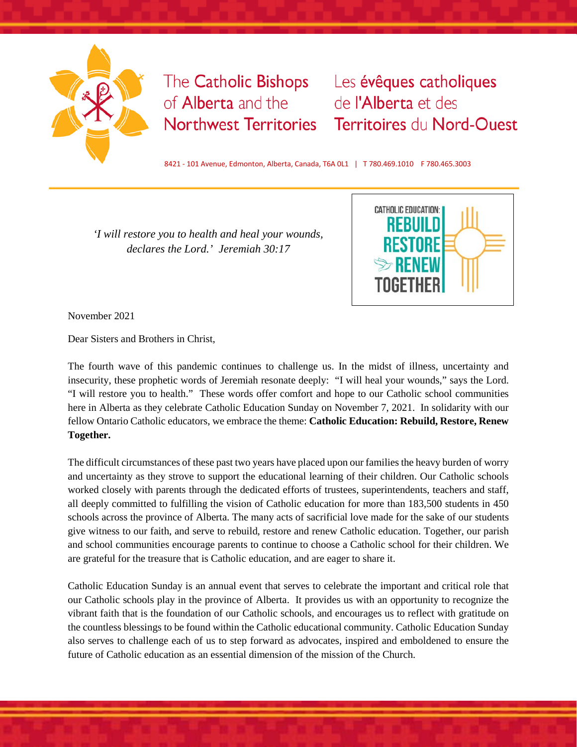

## of **Alberta** and the **Northwest Territories**

The Catholic Bishops Les évêques catholiques de l'Alberta et des **Territoires du Nord-Ouest** 

8421 - 101 Avenue, Edmonton, Alberta, Canada, T6A 0L1 | T 780.469.1010 F 780.465.3003

*'I will restore you to health and heal your wounds, declares the Lord.' Jeremiah 30:17*



November 2021

Dear Sisters and Brothers in Christ,

The fourth wave of this pandemic continues to challenge us. In the midst of illness, uncertainty and insecurity, these prophetic words of Jeremiah resonate deeply: "I will heal your wounds," says the Lord. "I will restore you to health." These words offer comfort and hope to our Catholic school communities here in Alberta as they celebrate Catholic Education Sunday on November 7, 2021. In solidarity with our fellow Ontario Catholic educators, we embrace the theme: **Catholic Education: Rebuild, Restore, Renew Together.**

The difficult circumstances of these past two years have placed upon our families the heavy burden of worry and uncertainty as they strove to support the educational learning of their children. Our Catholic schools worked closely with parents through the dedicated efforts of trustees, superintendents, teachers and staff, all deeply committed to fulfilling the vision of Catholic education for more than 183,500 students in 450 schools across the province of Alberta. The many acts of sacrificial love made for the sake of our students give witness to our faith, and serve to rebuild, restore and renew Catholic education. Together, our parish and school communities encourage parents to continue to choose a Catholic school for their children. We are grateful for the treasure that is Catholic education, and are eager to share it.

Catholic Education Sunday is an annual event that serves to celebrate the important and critical role that our Catholic schools play in the province of Alberta. It provides us with an opportunity to recognize the vibrant faith that is the foundation of our Catholic schools, and encourages us to reflect with gratitude on the countless blessings to be found within the Catholic educational community. Catholic Education Sunday also serves to challenge each of us to step forward as advocates, inspired and emboldened to ensure the future of Catholic education as an essential dimension of the mission of the Church.